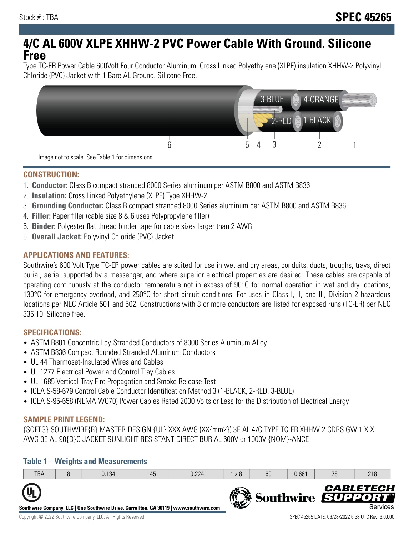# **4/C AL 600V XLPE XHHW-2 PVC Power Cable With Ground. Silicone Free**

Type TC-ER Power Cable 600Volt Four Conductor Aluminum, Cross Linked Polyethylene (XLPE) insulation XHHW-2 Polyvinyl Chloride (PVC) Jacket with 1 Bare AL Ground. Silicone Free.



### **CONSTRUCTION:**

- 1. **Conductor:** Class B compact stranded 8000 Series aluminum per ASTM B800 and ASTM B836
- 2. **Insulation:** Cross Linked Polyethylene (XLPE) Type XHHW-2
- 3. **Grounding Conductor:** Class B compact stranded 8000 Series aluminum per ASTM B800 and ASTM B836
- 4. **Filler:** Paper filler (cable size 8 & 6 uses Polypropylene filler)
- 5. **Binder:** Polyester flat thread binder tape for cable sizes larger than 2 AWG
- 6. **Overall Jacket:** Polyvinyl Chloride (PVC) Jacket

## **APPLICATIONS AND FEATURES:**

Southwire's 600 Volt Type TC-ER power cables are suited for use in wet and dry areas, conduits, ducts, troughs, trays, direct burial, aerial supported by a messenger, and where superior electrical properties are desired. These cables are capable of operating continuously at the conductor temperature not in excess of 90°C for normal operation in wet and dry locations, 130°C for emergency overload, and 250°C for short circuit conditions. For uses in Class I, II, and III, Division 2 hazardous locations per NEC Article 501 and 502. Constructions with 3 or more conductors are listed for exposed runs (TC-ER) per NEC 336.10. Silicone free.

### **SPECIFICATIONS:**

- ASTM B801 Concentric-Lay-Stranded Conductors of 8000 Series Aluminum Alloy
- ASTM B836 Compact Rounded Stranded Aluminum Conductors
- UL 44 Thermoset-Insulated Wires and Cables
- UL 1277 Electrical Power and Control Tray Cables
- UL 1685 Vertical-Tray Fire Propagation and Smoke Release Test
- ICEA S-58-679 Control Cable Conductor Identification Method 3 (1-BLACK, 2-RED, 3-BLUE)
- ICEA S-95-658 (NEMA WC70) Power Cables Rated 2000 Volts or Less for the Distribution of Electrical Energy

### **SAMPLE PRINT LEGEND:**

{SQFTG} SOUTHWIRE{R} MASTER-DESIGN {UL} XXX AWG (XX{mm2}) 3E AL 4/C TYPE TC-ER XHHW-2 CDRS GW 1 X X AWG 3E AL 90{D}C JACKET SUNLIGHT RESISTANT DIRECT BURIAL 600V or 1000V {NOM}-ANCE

### **Table 1 – Weights and Measurements**